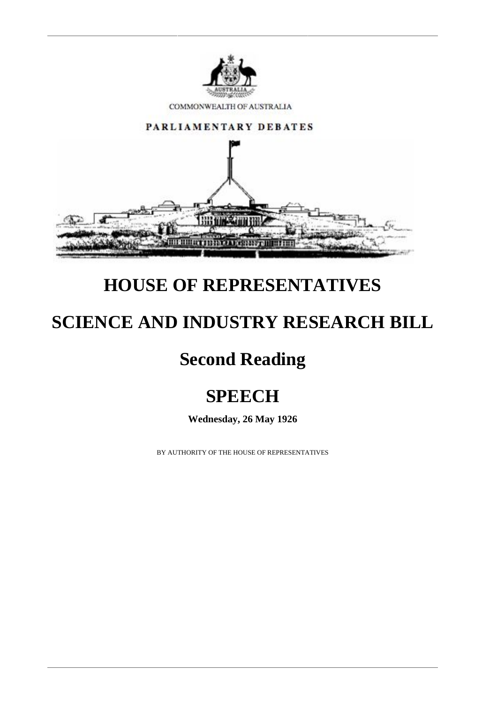

COMMONWEALTH OF AUSTRALIA



## **HOUSE OF REPRESENTATIVES**

# **SCIENCE AND INDUSTRY RESEARCH BILL**

# **Second Reading**

# **SPEECH**

**Wednesday, 26 May 1926**

BY AUTHORITY OF THE HOUSE OF REPRESENTATIVES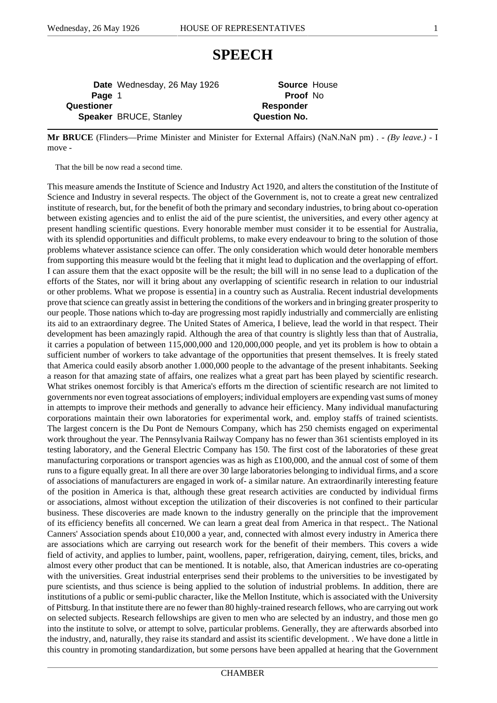### **SPEECH**

**Date** Wednesday, 26 May 1926 **Source** House **Page** 1 **Proof** No **Questioner** *Responder* **Speaker** BRUCE, Stanley **Question No.** 

**Mr BRUCE** (Flinders—Prime Minister and Minister for External Affairs) (NaN.NaN pm) . - *(By leave.)* - I move -

That the bill be now read a second time.

This measure amends the Institute of Science and Industry Act 1920, and alters the constitution of the Institute of Science and Industry in several respects. The object of the Government is, not to create a great new centralized institute of research, but, for the benefit of both the primary and secondary industries, to bring about co-operation between existing agencies and to enlist the aid of the pure scientist, the universities, and every other agency at present handling scientific questions. Every honorable member must consider it to be essential for Australia, with its splendid opportunities and difficult problems, to make every endeavour to bring to the solution of those problems whatever assistance science can offer. The only consideration which would deter honorable members from supporting this measure would bt the feeling that it might lead to duplication and the overlapping of effort. I can assure them that the exact opposite will be the result; the bill will in no sense lead to a duplication of the efforts of the States, nor will it bring about any overlapping of scientific research in relation to our industrial or other problems. What we propose is essentia] in a country such as Australia. Recent industrial developments prove that science can greatly assist in bettering the conditions of the workers and in bringing greater prosperity to our people. Those nations which to-day are progressing most rapidly industrially and commercially are enlisting its aid to an extraordinary degree. The United States of America, I believe, lead the world in that respect. Their development has been amazingly rapid. Although the area of that country is slightly less than that of Australia, it carries a population of between 115,000,000 and 120,000,000 people, and yet its problem is how to obtain a sufficient number of workers to take advantage of the opportunities that present themselves. It is freely stated that America could easily absorb another 1.000,000 people to the advantage of the present inhabitants. Seeking a reason for that amazing state of affairs, one realizes what a great part has been played by scientific research. What strikes onemost forcibly is that America's efforts m the direction of scientific research are not limited to governments nor even togreat associations of employers; individual employers are expending vast sums of money in attempts to improve their methods and generally to advance heir efficiency. Many individual manufacturing corporations maintain their own laboratories for experimental work, and. employ staffs of trained scientists. The largest concern is the Du Pont de Nemours Company, which has 250 chemists engaged on experimental work throughout the year. The Pennsylvania Railway Company has no fewer than 361 scientists employed in its testing laboratory, and the General Electric Company has 150. The first cost of the laboratories of these great manufacturing corporations or transport agencies was as high as £100,000, and the annual cost of some of them runs to a figure equally great. In all there are over 30 large laboratories belonging to individual firms, and a score of associations of manufacturers are engaged in work of- a similar nature. An extraordinarily interesting feature of the position in America is that, although these great research activities are conducted by individual firms or associations, almost without exception the utilization of their discoveries is not confined to their particular business. These discoveries are made known to the industry generally on the principle that the improvement of its efficiency benefits all concerned. We can learn a great deal from America in that respect.. The National Canners' Association spends about  $\pounds 10,000$  a year, and, connected with almost every industry in America there are associations which are carrying out research work for the benefit of their members. This covers a wide field of activity, and applies to lumber, paint, woollens, paper, refrigeration, dairying, cement, tiles, bricks, and almost every other product that can be mentioned. It is notable, also, that American industries are co-operating with the universities. Great industrial enterprises send their problems to the universities to be investigated by pure scientists, and thus science is being applied to the solution of industrial problems. In addition, there are institutions of a public or semi-public character, like the Mellon Institute, which is associated with the University of Pittsburg. In that institute there are no fewer than 80 highly-trained research fellows, who are carrying out work on selected subjects. Research fellowships are given to men who are selected by an industry, and those men go into the institute to solve, or attempt to solve, particular problems. Generally, they are afterwards absorbed into the industry, and, naturally, they raise its standard and assist its scientific development. . We have done a little in this country in promoting standardization, but some persons have been appalled at hearing that the Government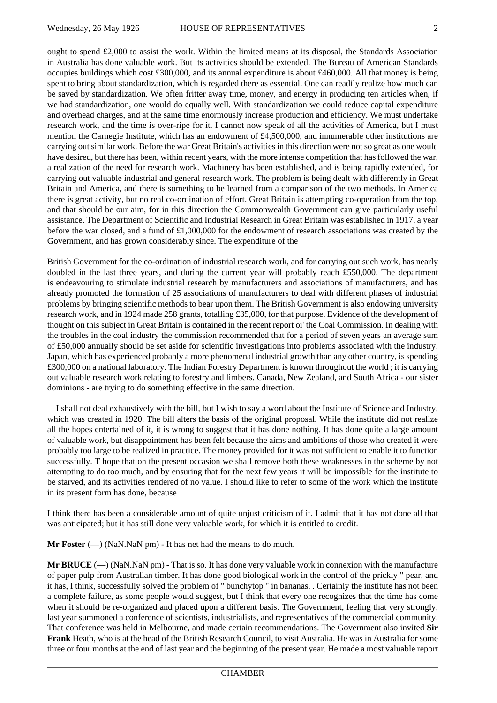ought to spend £2,000 to assist the work. Within the limited means at its disposal, the Standards Association in Australia has done valuable work. But its activities should be extended. The Bureau of American Standards occupies buildings which cost £300,000, and its annual expenditure is about £460,000. All that money is being spent to bring about standardization, which is regarded there as essential. One can readily realize how much can be saved by standardization. We often fritter away time, money, and energy in producing ten articles when, if we had standardization, one would do equally well. With standardization we could reduce capital expenditure and overhead charges, and at the same time enormously increase production and efficiency. We must undertake research work, and the time is over-ripe for it. I cannot now speak of all the activities of America, but I must mention the Carnegie Institute, which has an endowment of £4,500,000, and innumerable other institutions are carrying out similar work. Before the war Great Britain's activities in this direction were not so great as one would have desired, but there has been, within recent years, with the more intense competition that has followed the war, a realization of the need for research work. Machinery has been established, and is being rapidly extended, for carrying out valuable industrial and general research work. The problem is being dealt with differently in Great Britain and America, and there is something to be learned from a comparison of the two methods. In America there is great activity, but no real co-ordination of effort. Great Britain is attempting co-operation from the top, and that should be our aim, for in this direction the Commonwealth Government can give particularly useful assistance. The Department of Scientific and Industrial Research in Great Britain was established in 1917, a year before the war closed, and a fund of £1,000,000 for the endowment of research associations was created by the Government, and has grown considerably since. The expenditure of the

British Government for the co-ordination of industrial research work, and for carrying out such work, has nearly doubled in the last three years, and during the current year will probably reach £550,000. The department is endeavouring to stimulate industrial research by manufacturers and associations of manufacturers, and has already promoted the formation of 25 associations of manufacturers to deal with different phases of industrial problems by bringing scientific methods to bear upon them. The British Government is also endowing university research work, and in 1924 made 258 grants, totalling £35,000, for that purpose. Evidence of the development of thought on this subject in Great Britain is contained in the recent report oi' the Coal Commission. In dealing with the troubles in the coal industry the commission recommended that for a period of seven years an average sum of £50,000 annually should be set aside for scientific investigations into problems associated with the industry. Japan, which has experienced probably a more phenomenal industrial growth than any other country, is spending £300,000 on a national laboratory. The Indian Forestry Department is known throughout the world ; it is carrying out valuable research work relating to forestry and limbers. Canada, New Zealand, and South Africa - our sister dominions - are trying to do something effective in the same direction.

I shall not deal exhaustively with the bill, but I wish to say a word about the Institute of Science and Industry, which was created in 1920. The bill alters the basis of the original proposal. While the institute did not realize all the hopes entertained of it, it is wrong to suggest that it has done nothing. It has done quite a large amount of valuable work, but disappointment has been felt because the aims and ambitions of those who created it were probably too large to be realized in practice. The money provided for it was not sufficient to enable it to function successfully. T hope that on the present occasion we shall remove both these weaknesses in the scheme by not attempting to do too much, and by ensuring that for the next few years it will be impossible for the institute to be starved, and its activities rendered of no value. I should like to refer to some of the work which the institute in its present form has done, because

I think there has been a considerable amount of quite unjust criticism of it. I admit that it has not done all that was anticipated; but it has still done very valuable work, for which it is entitled to credit.

**Mr Foster** (—) (NaN.NaN pm) - It has net had the means to do much.

**Mr BRUCE** (—) (NaN.NaN pm) - That is so. It has done very valuable work in connexion with the manufacture of paper pulp from Australian timber. It has done good biological work in the control of the prickly " pear, and it has, I think, successfully solved the problem of " bunchytop " in bananas. . Certainly the institute has not been a complete failure, as some people would suggest, but I think that every one recognizes that the time has come when it should be re-organized and placed upon a different basis. The Government, feeling that very strongly, last year summoned a conference of scientists, industrialists, and representatives of the commercial community. That conference was held in Melbourne, and made certain recommendations. The Government also invited **Sir Frank** Heath, who is at the head of the British Research Council, to visit Australia. He was in Australia for some three or four months at the end of last year and the beginning of the present year. He made a most valuable report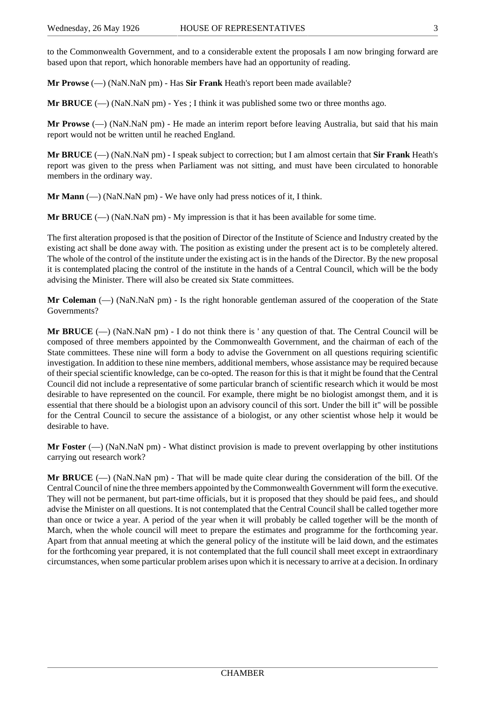to the Commonwealth Government, and to a considerable extent the proposals I am now bringing forward are based upon that report, which honorable members have had an opportunity of reading.

**Mr Prowse** (—) (NaN.NaN pm) - Has **Sir Frank** Heath's report been made available?

**Mr BRUCE** ( $\rightarrow$ ) (NaN.NaN pm) - Yes; I think it was published some two or three months ago.

**Mr Prowse** (—) (NaN.NaN pm) - He made an interim report before leaving Australia, but said that his main report would not be written until he reached England.

**Mr BRUCE** (—) (NaN.NaN pm) - I speak subject to correction; but I am almost certain that **Sir Frank** Heath's report was given to the press when Parliament was not sitting, and must have been circulated to honorable members in the ordinary way.

**Mr Mann**  $(-)$  (NaN.NaN pm) - We have only had press notices of it, I think.

**Mr BRUCE** ( $\rightarrow$ ) (NaN.NaN pm) - My impression is that it has been available for some time.

The first alteration proposed is that the position of Director of the Institute of Science and Industry created by the existing act shall be done away with. The position as existing under the present act is to be completely altered. The whole of the control of the institute under the existing act is in the hands of the Director. By the new proposal it is contemplated placing the control of the institute in the hands of a Central Council, which will be the body advising the Minister. There will also be created six State committees.

**Mr Coleman** (—) (NaN.NaN pm) - Is the right honorable gentleman assured of the cooperation of the State Governments?

**Mr BRUCE** ( $\rightarrow$ ) (NaN.NaN pm) - I do not think there is ' any question of that. The Central Council will be composed of three members appointed by the Commonwealth Government, and the chairman of each of the State committees. These nine will form a body to advise the Government on all questions requiring scientific investigation. In addition to these nine members, additional members, whose assistance may be required because of their special scientific knowledge, can be co-opted. The reason for this is that it might be found that the Central Council did not include a representative of some particular branch of scientific research which it would be most desirable to have represented on the council. For example, there might be no biologist amongst them, and it is essential that there should be a biologist upon an advisory council of this sort. Under the bill it" will be possible for the Central Council to secure the assistance of a biologist, or any other scientist whose help it would be desirable to have.

**Mr Foster**  $(-)$  (NaN.NaN pm) - What distinct provision is made to prevent overlapping by other institutions carrying out research work?

**Mr BRUCE**  $(-)$  (NaN.NaN pm) - That will be made quite clear during the consideration of the bill. Of the Central Council of nine the three members appointed by the Commonwealth Government will form the executive. They will not be permanent, but part-time officials, but it is proposed that they should be paid fees,, and should advise the Minister on all questions. It is not contemplated that the Central Council shall be called together more than once or twice a year. A period of the year when it will probably be called together will be the month of March, when the whole council will meet to prepare the estimates and programme for the forthcoming year. Apart from that annual meeting at which the general policy of the institute will be laid down, and the estimates for the forthcoming year prepared, it is not contemplated that the full council shall meet except in extraordinary circumstances, when some particular problem arises upon which it is necessary to arrive at a decision. In ordinary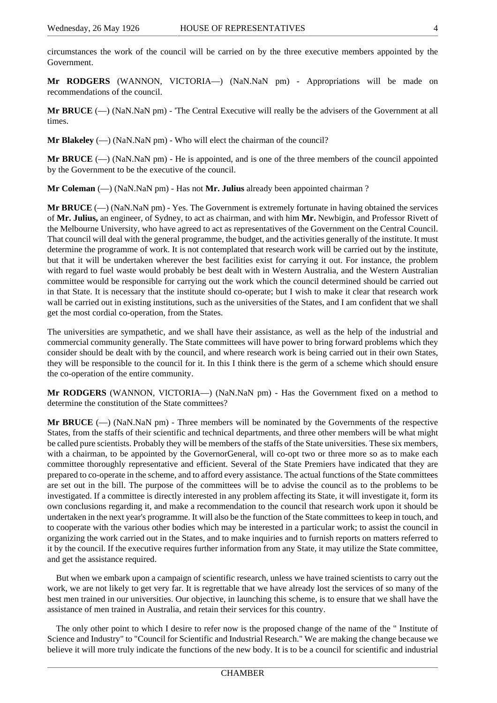**Mr RODGERS** (WANNON, VICTORIA—) (NaN.NaN pm) - Appropriations will be made on recommendations of the council.

**Mr BRUCE** (—) (NaN.NaN pm) - 'The Central Executive will really be the advisers of the Government at all times.

**Mr Blakeley** (—) (NaN.NaN pm) - Who will elect the chairman of the council?

**Mr BRUCE** (—) (NaN.NaN pm) - He is appointed, and is one of the three members of the council appointed by the Government to be the executive of the council.

**Mr Coleman** (—) (NaN.NaN pm) - Has not **Mr. Julius** already been appointed chairman ?

**Mr BRUCE** (—) (NaN.NaN pm) - Yes. The Government is extremely fortunate in having obtained the services of **Mr. Julius,** an engineer, of Sydney, to act as chairman, and with him **Mr.** Newbigin, and Professor Rivett of the Melbourne University, who have agreed to act as representatives of the Government on the Central Council. That council will deal with the general programme, the budget, and the activities generally of the institute. It must determine the programme of work. It is not contemplated that research work will be carried out by the institute, but that it will be undertaken wherever the best facilities exist for carrying it out. For instance, the problem with regard to fuel waste would probably be best dealt with in Western Australia, and the Western Australian committee would be responsible for carrying out the work which the council determined should be carried out in that State. It is necessary that the institute should co-operate; but I wish to make it clear that research work wall be carried out in existing institutions, such as the universities of the States, and I am confident that we shall get the most cordial co-operation, from the States.

The universities are sympathetic, and we shall have their assistance, as well as the help of the industrial and commercial community generally. The State committees will have power to bring forward problems which they consider should be dealt with by the council, and where research work is being carried out in their own States, they will be responsible to the council for it. In this I think there is the germ of a scheme which should ensure the co-operation of the entire community.

**Mr RODGERS** (WANNON, VICTORIA—) (NaN.NaN pm) - Has the Government fixed on a method to determine the constitution of the State committees?

**Mr BRUCE**  $(-)$  (NaN.NaN pm) - Three members will be nominated by the Governments of the respective States, from the staffs of their scientific and technical departments, and three other members will be what might be called pure scientists. Probably they will be members of the staffs of the State universities. These six members, with a chairman, to be appointed by the GovernorGeneral, will co-opt two or three more so as to make each committee thoroughly representative and efficient. Several of the State Premiers have indicated that they are prepared to co-operate in the scheme, and to afford every assistance. The actual functions of the State committees are set out in the bill. The purpose of the committees will be to advise the council as to the problems to be investigated. If a committee is directly interested in any problem affecting its State, it will investigate it, form its own conclusions regarding it, and make a recommendation to the council that research work upon it should be undertaken in the next year's programme. It will also be the function of the State committees to keep in touch, and to cooperate with the various other bodies which may be interested in a particular work; to assist the council in organizing the work carried out in the States, and to make inquiries and to furnish reports on matters referred to it by the council. If the executive requires further information from any State, it may utilize the State committee, and get the assistance required.

But when we embark upon a campaign of scientific research, unless we have trained scientists to carry out the work, we are not likely to get very far. It is regrettable that we have already lost the services of so many of the best men trained in our universities. Our objective, in launching this scheme, is to ensure that we shall have the assistance of men trained in Australia, and retain their services for this country.

The only other point to which I desire to refer now is the proposed change of the name of the " Institute of Science and Industry" to "Council for Scientific and Industrial Research." We are making the change because we believe it will more truly indicate the functions of the new body. It is to be a council for scientific and industrial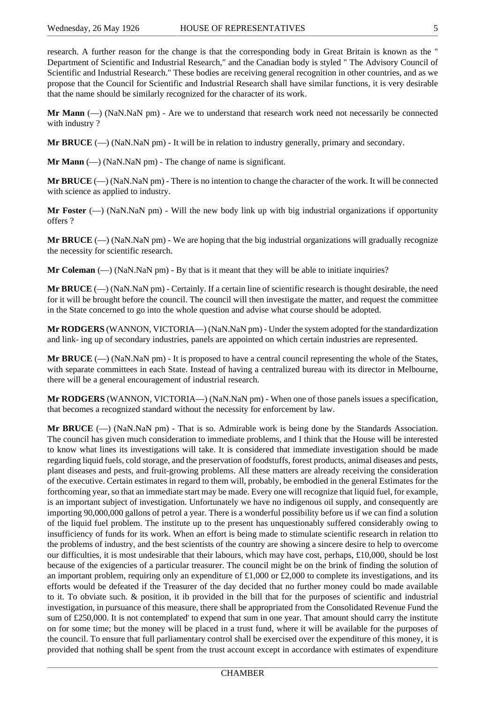research. A further reason for the change is that the corresponding body in Great Britain is known as the " Department of Scientific and Industrial Research," and the Canadian body is styled " The Advisory Council of Scientific and Industrial Research." These bodies are receiving general recognition in other countries, and as we propose that the Council for Scientific and Industrial Research shall have similar functions, it is very desirable that the name should be similarly recognized for the character of its work.

**Mr Mann** (—) (NaN.NaN pm) - Are we to understand that research work need not necessarily be connected with industry ?

**Mr BRUCE** (—) (NaN.NaN pm) - It will be in relation to industry generally, primary and secondary.

**Mr Mann** (—) (NaN.NaN pm) - The change of name is significant.

**Mr BRUCE** ( $\rightarrow$ ) (NaN.NaN pm) - There is no intention to change the character of the work. It will be connected with science as applied to industry.

**Mr Foster**  $(-)$  (NaN.NaN pm) - Will the new body link up with big industrial organizations if opportunity offers ?

**Mr BRUCE** ( $\rightarrow$ ) (NaN.NaN pm) - We are hoping that the big industrial organizations will gradually recognize the necessity for scientific research.

**Mr Coleman**  $(-)$  (NaN.NaN pm) - By that is it meant that they will be able to initiate inquiries?

**Mr BRUCE** (—) (NaN.NaN pm) - Certainly. If a certain line of scientific research is thought desirable, the need for it will be brought before the council. The council will then investigate the matter, and request the committee in the State concerned to go into the whole question and advise what course should be adopted.

**Mr RODGERS** (WANNON, VICTORIA—) (NaN.NaN pm) - Under the system adopted for the standardization and link- ing up of secondary industries, panels are appointed on which certain industries are represented.

**Mr BRUCE** (—) (NaN.NaN pm) - It is proposed to have a central council representing the whole of the States, with separate committees in each State. Instead of having a centralized bureau with its director in Melbourne, there will be a general encouragement of industrial research.

**Mr RODGERS** (WANNON, VICTORIA—) (NaN.NaN pm) - When one of those panels issues a specification, that becomes a recognized standard without the necessity for enforcement by law.

**Mr BRUCE** (—) (NaN.NaN pm) - That is so. Admirable work is being done by the Standards Association. The council has given much consideration to immediate problems, and I think that the House will be interested to know what lines its investigations will take. It is considered that immediate investigation should be made regarding liquid fuels, cold storage, and the preservation of foodstuffs, forest products, animal diseases and pests, plant diseases and pests, and fruit-growing problems. All these matters are already receiving the consideration of the executive. Certain estimates in regard to them will, probably, be embodied in the general Estimates for the forthcoming year, so that an immediate start may be made. Every one will recognize that liquid fuel, for example, is an important subject of investigation. Unfortunately we have no indigenous oil supply, and consequently are importing 90,000,000 gallons of petrol a year. There is a wonderful possibility before us if we can find a solution of the liquid fuel problem. The institute up to the present has unquestionably suffered considerably owing to insufficiency of funds for its work. When an effort is being made to stimulate scientific research in relation tto the problems of industry, and the best scientists of the country are showing a sincere desire to help to overcome our difficulties, it is most undesirable that their labours, which may have cost, perhaps, £10,000, should be lost because of the exigencies of a particular treasurer. The council might be on the brink of finding the solution of an important problem, requiring only an expenditure of  $\pounds1,000$  or  $\pounds2,000$  to complete its investigations, and its efforts would be defeated if the Treasurer of the day decided that no further money could bo made available to it. To obviate such. & position, it ib provided in the bill that for the purposes of scientific and industrial investigation, in pursuance of this measure, there shall be appropriated from the Consolidated Revenue Fund the sum of £250,000. It is not contemplated' to expend that sum in one year. That amount should carry the institute on for some time; but the money will be placed in a trust fund, where it will be available for the purposes of the council. To ensure that full parliamentary control shall be exercised over the expenditure of this money, it is provided that nothing shall be spent from the trust account except in accordance with estimates of expenditure